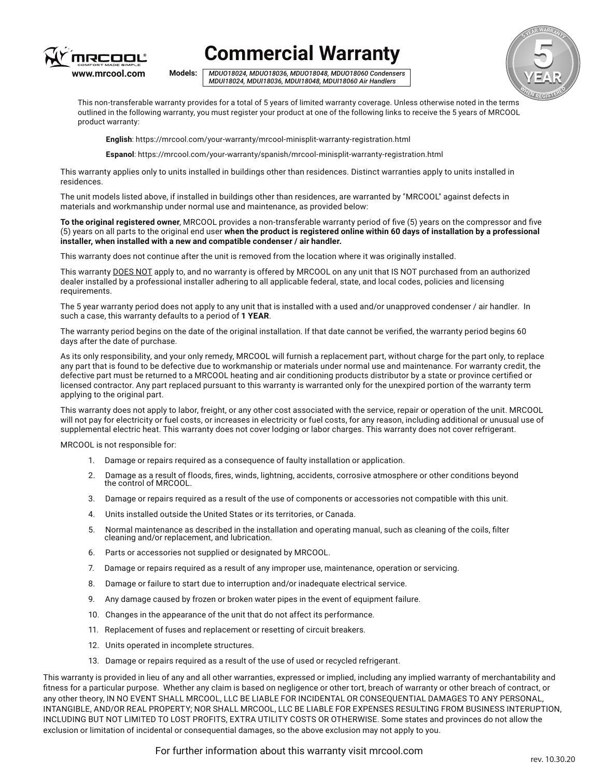

## **Commercial Warranty**

*MDUO18024, MDUO18036, MDUO18048, MDUO18060 Condensers MDUI18024, MDUI18036, MDUI18048, MDUI18060 Air Handlers* **Models:** 



This non-transferable warranty provides for a total of 5 years of limited warranty coverage. Unless otherwise noted in the terms outlined in the following warranty, you must register your product at one of the following links to receive the 5 years of MRCOOL product warranty:

**English**: https://mrcool.com/your-warranty/mrcool-minisplit-warranty-registration.html

**Espanol**: https://mrcool.com/your-warranty/spanish/mrcool-minisplit-warranty-registration.html

This warranty applies only to units installed in buildings other than residences. Distinct warranties apply to units installed in residences.

The unit models listed above, if installed in buildings other than residences, are warranted by "MRCOOL" against defects in materials and workmanship under normal use and maintenance, as provided below:

**To the original registered owner**, MRCOOL provides a non-transferable warranty period of five (5) years on the compressor and five (5) years on all parts to the original end user **when the product is registered online within 60 days of installation by a professional installer, when installed with a new and compatible condenser / air handler.**

This warranty does not continue after the unit is removed from the location where it was originally installed.

This warranty DOES NOT apply to, and no warranty is offered by MRCOOL on any unit that IS NOT purchased from an authorized dealer installed by a professional installer adhering to all applicable federal, state, and local codes, policies and licensing requirements.

The 5 year warranty period does not apply to any unit that is installed with a used and/or unapproved condenser / air handler. In such a case, this warranty defaults to a period of **1 YEAR**.

The warranty period begins on the date of the original installation. If that date cannot be verified, the warranty period begins 60 days after the date of purchase.

As its only responsibility, and your only remedy, MRCOOL will furnish a replacement part, without charge for the part only, to replace any part that is found to be defective due to workmanship or materials under normal use and maintenance. For warranty credit, the defective part must be returned to a MRCOOL heating and air conditioning products distributor by a state or province certified or licensed contractor. Any part replaced pursuant to this warranty is warranted only for the unexpired portion of the warranty term applying to the original part.

This warranty does not apply to labor, freight, or any other cost associated with the service, repair or operation of the unit. MRCOOL will not pay for electricity or fuel costs, or increases in electricity or fuel costs, for any reason, including additional or unusual use of supplemental electric heat. This warranty does not cover lodging or labor charges. This warranty does not cover refrigerant.

MRCOOL is not responsible for:

- 1. Damage or repairs required as a consequence of faulty installation or application.
- 2. Damage as a result of floods, fires, winds, lightning, accidents, corrosive atmosphere or other conditions beyond the control of MRCOOL.
- 3. Damage or repairs required as a result of the use of components or accessories not compatible with this unit.
- 4. Units installed outside the United States or its territories, or Canada.
- 5. Normal maintenance as described in the installation and operating manual, such as cleaning of the coils, filter cleaning and/or replacement, and lubrication.
- 6. Parts or accessories not supplied or designated by MRCOOL.
- 7. Damage or repairs required as a result of any improper use, maintenance, operation or servicing.
- 8. Damage or failure to start due to interruption and/or inadequate electrical service.
- 9. Any damage caused by frozen or broken water pipes in the event of equipment failure.
- 10. Changes in the appearance of the unit that do not affect its performance.
- 11. Replacement of fuses and replacement or resetting of circuit breakers.
- 12. Units operated in incomplete structures.
- 13. Damage or repairs required as a result of the use of used or recycled refrigerant.

This warranty is provided in lieu of any and all other warranties, expressed or implied, including any implied warranty of merchantability and fitness for a particular purpose. Whether any claim is based on negligence or other tort, breach of warranty or other breach of contract, or any other theory, IN NO EVENT SHALL MRCOOL, LLC BE LIABLE FOR INCIDENTAL OR CONSEQUENTIAL DAMAGES TO ANY PERSONAL, INTANGIBLE, AND/OR REAL PROPERTY; NOR SHALL MRCOOL, LLC BE LIABLE FOR EXPENSES RESULTING FROM BUSINESS INTERUPTION, INCLUDING BUT NOT LIMITED TO LOST PROFITS, EXTRA UTILITY COSTS OR OTHERWISE. Some states and provinces do not allow the exclusion or limitation of incidental or consequential damages, so the above exclusion may not apply to you.

For further information about this warranty visit mrcool.com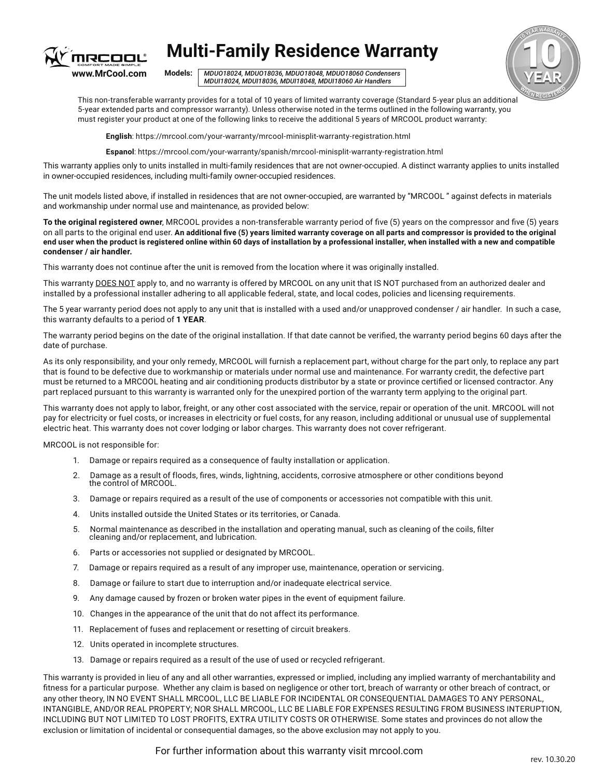

## **Multi-Family Residence Warranty**

Models: MDUO18024036, MDUO18048060 *MDUI18024, MDUI18036, MDUI18048, MDUI18060 Air Handlers MDUO18024, MDUO18036, MDUO18048, MDUO18060 Condensers* **Models:** 



This non-transferable warranty provides for a total of 10 years of limited warranty coverage (Standard 5-year plus an additional 5-year extended parts and compressor warranty). Unless otherwise noted in the terms outlined in the following warranty, you must register your product at one of the following links to receive the additional 5 years of MRCOOL product warranty:

**English**: https://mrcool.com/your-warranty/mrcool-minisplit-warranty-registration.html

**Espanol**: https://mrcool.com/your-warranty/spanish/mrcool-minisplit-warranty-registration.html

This warranty applies only to units installed in multi-family residences that are not owner-occupied. A distinct warranty applies to units installed in owner-occupied residences, including multi-family owner-occupied residences.

The unit models listed above, if installed in residences that are not owner-occupied, are warranted by "MRCOOL " against defects in materials and workmanship under normal use and maintenance, as provided below:

**To the original registered owner**, MRCOOL provides a non-transferable warranty period of five (5) years on the compressor and five (5) years on all parts to the original end user. **An additional five (5) years limited warranty coverage on all parts and compressor is provided to the original end user when the product is registered online within 60 days of installation by a professional installer, when installed with a new and compatible condenser / air handler.**

This warranty does not continue after the unit is removed from the location where it was originally installed.

This warranty DOES NOT apply to, and no warranty is offered by MRCOOL on any unit that IS NOT purchased from an authorized dealer and installed by a professional installer adhering to all applicable federal, state, and local codes, policies and licensing requirements.

The 5 year warranty period does not apply to any unit that is installed with a used and/or unapproved condenser / air handler. In such a case, this warranty defaults to a period of **1 YEAR**.

The warranty period begins on the date of the original installation. If that date cannot be verified, the warranty period begins 60 days after the date of purchase.

As its only responsibility, and your only remedy, MRCOOL will furnish a replacement part, without charge for the part only, to replace any part that is found to be defective due to workmanship or materials under normal use and maintenance. For warranty credit, the defective part must be returned to a MRCOOL heating and air conditioning products distributor by a state or province certified or licensed contractor. Any part replaced pursuant to this warranty is warranted only for the unexpired portion of the warranty term applying to the original part.

This warranty does not apply to labor, freight, or any other cost associated with the service, repair or operation of the unit. MRCOOL will not pay for electricity or fuel costs, or increases in electricity or fuel costs, for any reason, including additional or unusual use of supplemental electric heat. This warranty does not cover lodging or labor charges. This warranty does not cover refrigerant.

MRCOOL is not responsible for:

- 1. Damage or repairs required as a consequence of faulty installation or application.
- 2. Damage as a result of floods, fires, winds, lightning, accidents, corrosive atmosphere or other conditions beyond the control of MRCOOL.
- 3. Damage or repairs required as a result of the use of components or accessories not compatible with this unit.
- 4. Units installed outside the United States or its territories, or Canada.
- 5. Normal maintenance as described in the installation and operating manual, such as cleaning of the coils, filter cleaning and/or replacement, and lubrication.
- 6. Parts or accessories not supplied or designated by MRCOOL.
- 7. Damage or repairs required as a result of any improper use, maintenance, operation or servicing.
- 8. Damage or failure to start due to interruption and/or inadequate electricaI service.
- 9. Any damage caused by frozen or broken water pipes in the event of equipment failure.
- 10. Changes in the appearance of the unit that do not affect its performance.
- 11. Replacement of fuses and replacement or resetting of circuit breakers.
- 12. Units operated in incomplete structures.
- 13. Damage or repairs required as a result of the use of used or recycled refrigerant.

This warranty is provided in lieu of any and all other warranties, expressed or implied, including any implied warranty of merchantability and fitness for a particular purpose. Whether any claim is based on negligence or other tort, breach of warranty or other breach of contract, or any other theory, IN NO EVENT SHALL MRCOOL, LLC BE LIABLE FOR INCIDENTAL OR CONSEQUENTIAL DAMAGES TO ANY PERSONAL, INTANGIBLE, AND/OR REAL PROPERTY; NOR SHALL MRCOOL, LLC BE LIABLE FOR EXPENSES RESULTING FROM BUSINESS INTERUPTION, INCLUDING BUT NOT LIMITED TO LOST PROFITS, EXTRA UTILITY COSTS OR OTHERWISE. Some states and provinces do not allow the exclusion or limitation of incidental or consequential damages, so the above exclusion may not apply to you.

For further information about this warranty visit mrcool.com